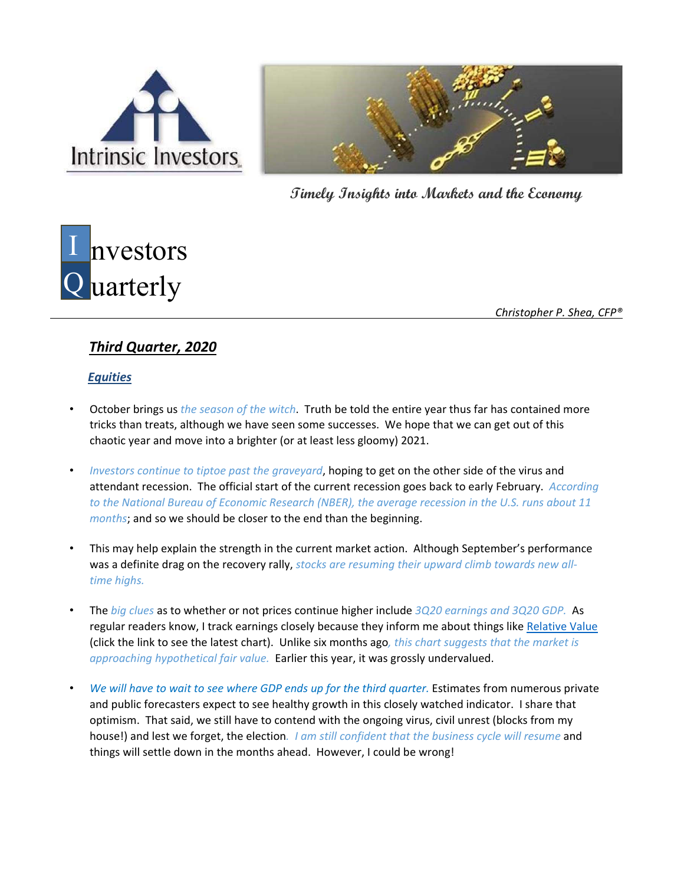



**Timely Insights into Markets and the Economy**

# I nvestors Q uarterly

*Christopher P. Shea, CFP®* 

# *Third Quarter, 2020*

## *Equities*

- October brings us *the season of the witch*. Truth be told the entire year thus far has contained more tricks than treats, although we have seen some successes. We hope that we can get out of this chaotic year and move into a brighter (or at least less gloomy) 2021.
- *Investors continue to tiptoe past the graveyard*, hoping to get on the other side of the virus and attendant recession. The official start of the current recession goes back to early February. *According to the National Bureau of Economic Research (NBER), the average recession in the U.S. runs about 11 months*; and so we should be closer to the end than the beginning.
- This may help explain the strength in the current market action. Although September's performance was a definite drag on the recovery rally, *stocks are resuming their upward climb towards new all‐ time highs.*
- The *big clues* as to whether or not prices continue higher include *3Q20 earnings and 3Q20 GDP.* As regular readers know, I track earnings closely because they inform me about things like [Relative](https://www.intrivest.com/relative_value) Value (click the link to see the latest chart). Unlike six months ago*, this chart suggests that the market is approaching hypothetical fair value.* Earlier this year, it was grossly undervalued.
- *We will have to wait to see where GDP ends up for the third quarter.* Estimates from numerous private and public forecasters expect to see healthy growth in this closely watched indicator. I share that optimism. That said, we still have to contend with the ongoing virus, civil unrest (blocks from my house!) and lest we forget, the election*. I am still confident that the business cycle will resume* and things will settle down in the months ahead. However, I could be wrong!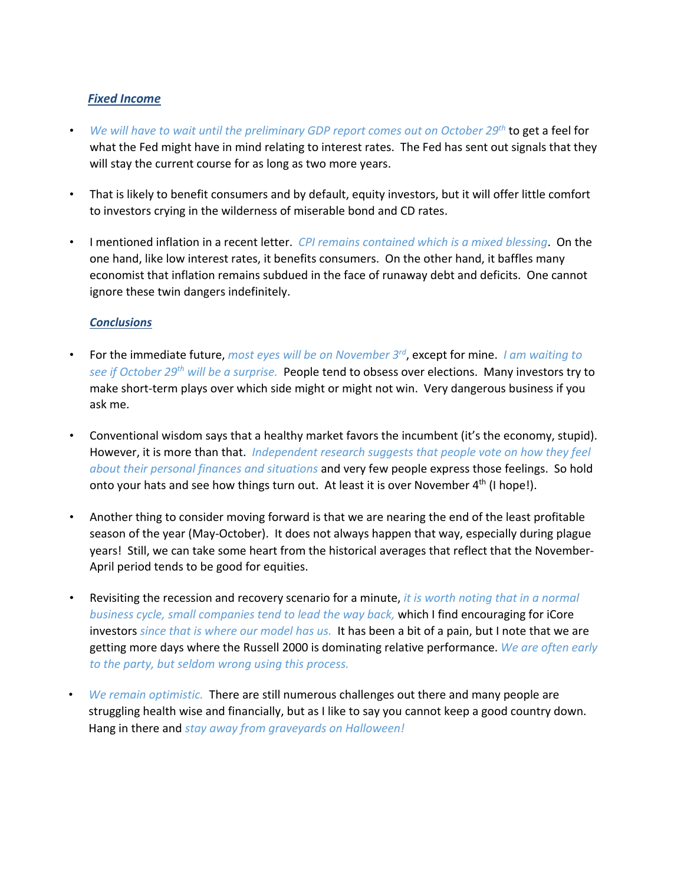### *Fixed Income*

- *We will have to wait until the preliminary GDP report comes out on October 29th* to get a feel for what the Fed might have in mind relating to interest rates. The Fed has sent out signals that they will stay the current course for as long as two more years.
- That is likely to benefit consumers and by default, equity investors, but it will offer little comfort to investors crying in the wilderness of miserable bond and CD rates.
- I mentioned inflation in a recent letter. *CPI remains contained which is a mixed blessing*. On the one hand, like low interest rates, it benefits consumers. On the other hand, it baffles many economist that inflation remains subdued in the face of runaway debt and deficits. One cannot ignore these twin dangers indefinitely.

#### *Conclusions*

- For the immediate future, *most eyes will be on November 3rd*, except for mine. *I am waiting to see if October 29th will be a surprise.* People tend to obsess over elections. Many investors try to make short-term plays over which side might or might not win. Very dangerous business if you ask me.
- Conventional wisdom says that a healthy market favors the incumbent (it's the economy, stupid). However, it is more than that. *Independent research suggests that people vote on how they feel about their personal finances and situations* and very few people express those feelings. So hold onto your hats and see how things turn out. At least it is over November  $4<sup>th</sup>$  (I hope!).
- Another thing to consider moving forward is that we are nearing the end of the least profitable season of the year (May-October). It does not always happen that way, especially during plague years! Still, we can take some heart from the historical averages that reflect that the November‐ April period tends to be good for equities.
- Revisiting the recession and recovery scenario for a minute, *it is worth noting that in a normal business cycle, small companies tend to lead the way back,* which I find encouraging for iCore investors *since that is where our model has us.* It has been a bit of a pain, but I note that we are getting more days where the Russell 2000 is dominating relative performance. *We are often early to the party, but seldom wrong using this process.*
- *We remain optimistic.* There are still numerous challenges out there and many people are struggling health wise and financially, but as I like to say you cannot keep a good country down. Hang in there and *stay away from graveyards on Halloween!*